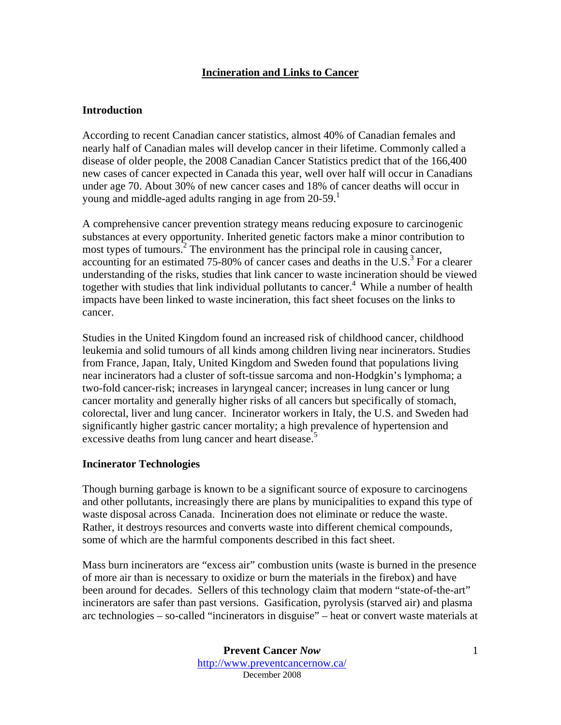# **Incineration and Links to Cancer**

# **Introduction**

According to recent Canadian cancer statistics, almost 40% of Canadian females and nearly half of Canadian males will develop cancer in their lifetime. Commonly called a disease of older people, the 2008 Canadian Cancer Statistics predict that of the 166,400 new cases of cancer expected in Canada this year, well over half will occur in Canadians under age 70. About 30% of new cancer cases and 18% of cancer deaths will occur in young and middle-aged adults ranging in age from 20-59.<sup>1</sup>

A comprehensive cancer prevention strategy means reducing exposure to carcinogenic substances at every opportunity. Inherited genetic factors make a minor contribution to most types of tumours.<sup>2</sup> The environment has the principal role in causing cancer, accounting for an estimated 75-80% of cancer cases and deaths in the U.S.<sup>3</sup> For a clearer understanding of the risks, studies that link cancer to waste incineration should be viewed together with studies that link individual pollutants to cancer.<sup>4</sup> While a number of health impacts have been linked to waste incineration, this fact sheet focuses on the links to cancer.

Studies in the United Kingdom found an increased risk of childhood cancer, childhood leukemia and solid tumours of all kinds among children living near incinerators. Studies from France, Japan, Italy, United Kingdom and Sweden found that populations living near incinerators had a cluster of soft-tissue sarcoma and non-Hodgkin's lymphoma; a two-fold cancer-risk; increases in laryngeal cancer; increases in lung cancer or lung cancer mortality and generally higher risks of all cancers but specifically of stomach, colorectal, liver and lung cancer. Incinerator workers in Italy, the U.S. and Sweden had significantly higher gastric cancer mortality; a high prevalence of hypertension and excessive deaths from lung cancer and heart disease.<sup>5</sup>

# **Incinerator Technologies**

Though burning garbage is known to be a significant source of exposure to carcinogens and other pollutants, increasingly there are plans by municipalities to expand this type of waste disposal across Canada. Incineration does not eliminate or reduce the waste. Rather, it destroys resources and converts waste into different chemical compounds, some of which are the harmful components described in this fact sheet.

Mass burn incinerators are "excess air" combustion units (waste is burned in the presence of more air than is necessary to oxidize or burn the materials in the firebox) and have been around for decades. Sellers of this technology claim that modern "state-of-the-art" incinerators are safer than past versions. Gasification, pyrolysis (starved air) and plasma arc technologies – so-called "incinerators in disguise" – heat or convert waste materials at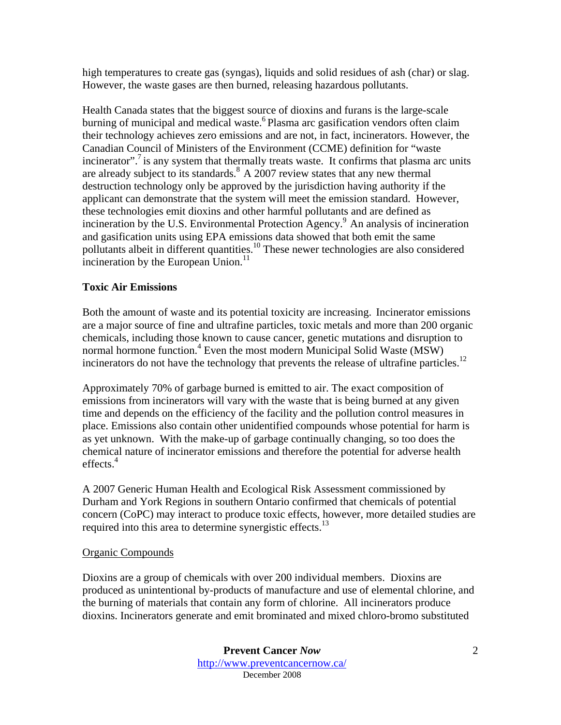high temperatures to create gas (syngas), liquids and solid residues of ash (char) or slag. However, the waste gases are then burned, releasing hazardous pollutants.

Health Canada states that the biggest source of dioxins and furans is the large-scale burning of municipal and medical waste.<sup>6</sup> Plasma arc gasification vendors often claim their technology achieves zero emissions and are not, in fact, incinerators. However, the Canadian Council of Ministers of the Environment (CCME) definition for "waste incinerator".<sup> $\frac{7}{1}$ </sup> is any system that thermally treats waste. It confirms that plasma arc units are already subject to its standards. $8 \text{ A } 2007$  review states that any new thermal destruction technology only be approved by the jurisdiction having authority if the applicant can demonstrate that the system will meet the emission standard. However, these technologies emit dioxins and other harmful pollutants and are defined as incineration by the U.S. Environmental Protection Agency.<sup>9</sup> An analysis of incineration and gasification units using EPA emissions data showed that both emit the same pollutants albeit in different quantities.<sup>10</sup> These newer technologies are also considered incineration by the European Union.<sup>11</sup>

# **Toxic Air Emissions**

Both the amount of waste and its potential toxicity are increasing. Incinerator emissions are a major source of fine and ultrafine particles, toxic metals and more than 200 organic chemicals, including those known to cause cancer, genetic mutations and disruption to normal hormone function.<sup>4</sup> Even the most modern Municipal Solid Waste (MSW) incinerators do not have the technology that prevents the release of ultrafine particles.<sup>12</sup>

Approximately 70% of garbage burned is emitted to air. The exact composition of emissions from incinerators will vary with the waste that is being burned at any given time and depends on the efficiency of the facility and the pollution control measures in place. Emissions also contain other unidentified compounds whose potential for harm is as yet unknown. With the make-up of garbage continually changing, so too does the chemical nature of incinerator emissions and therefore the potential for adverse health effects.<sup>4</sup>

A 2007 Generic Human Health and Ecological Risk Assessment commissioned by Durham and York Regions in southern Ontario confirmed that chemicals of potential concern (CoPC) may interact to produce toxic effects, however, more detailed studies are required into this area to determine synergistic effects.<sup>13</sup>

# Organic Compounds

Dioxins are a group of chemicals with over 200 individual members. Dioxins are produced as unintentional by-products of manufacture and use of elemental chlorine, and the burning of materials that contain any form of chlorine. All incinerators produce dioxins. Incinerators generate and emit brominated and mixed chloro-bromo substituted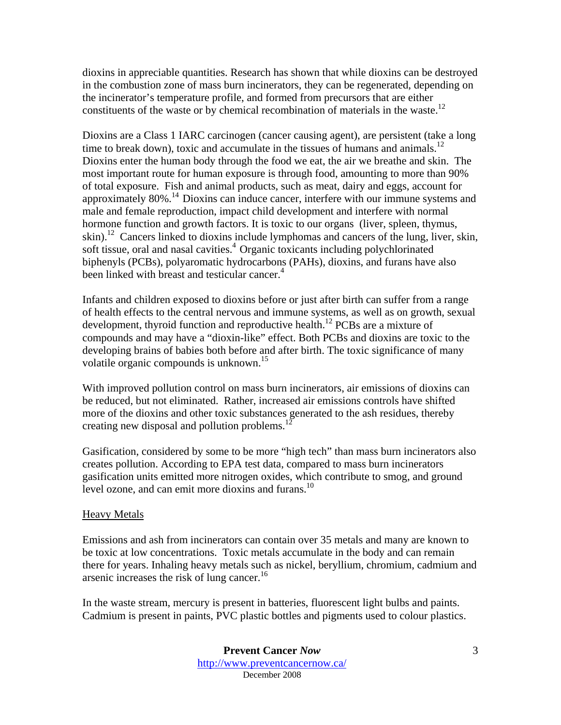dioxins in appreciable quantities. Research has shown that while dioxins can be destroyed in the combustion zone of mass burn incinerators, they can be regenerated, depending on the incinerator's temperature profile, and formed from precursors that are either constituents of the waste or by chemical recombination of materials in the waste.<sup>12</sup>

Dioxins are a Class 1 IARC carcinogen (cancer causing agent), are persistent (take a long time to break down), toxic and accumulate in the tissues of humans and animals.<sup>12</sup> Dioxins enter the human body through the food we eat, the air we breathe and skin. The most important route for human exposure is through food, amounting to more than 90% of total exposure. Fish and animal products, such as meat, dairy and eggs, account for approximately 80%.14 Dioxins can induce cancer, interfere with our immune systems and male and female reproduction, impact child development and interfere with normal hormone function and growth factors. It is toxic to our organs (liver, spleen, thymus, skin).<sup>12</sup> Cancers linked to dioxins include lymphomas and cancers of the lung, liver, skin, soft tissue, oral and nasal cavities.<sup>4</sup> Organic toxicants including polychlorinated biphenyls (PCBs), polyaromatic hydrocarbons (PAHs), dioxins, and furans have also been linked with breast and testicular cancer.<sup>4</sup>

Infants and children exposed to dioxins before or just after birth can suffer from a range of health effects to the central nervous and immune systems, as well as on growth, sexual development, thyroid function and reproductive health.<sup>12</sup> PCBs are a mixture of compounds and may have a "dioxin-like" effect. Both PCBs and dioxins are toxic to the developing brains of babies both before and after birth. The toxic significance of many volatile organic compounds is unknown.<sup>15</sup>

With improved pollution control on mass burn incinerators, air emissions of dioxins can be reduced, but not eliminated. Rather, increased air emissions controls have shifted more of the dioxins and other toxic substances generated to the ash residues, thereby creating new disposal and pollution problems. $1$ 

Gasification, considered by some to be more "high tech" than mass burn incinerators also creates pollution. According to EPA test data, compared to mass burn incinerators gasification units emitted more nitrogen oxides, which contribute to smog, and ground level ozone, and can emit more dioxins and furans. $^{10}$ 

#### Heavy Metals

Emissions and ash from incinerators can contain over 35 metals and many are known to be toxic at low concentrations. Toxic metals accumulate in the body and can remain there for years. Inhaling heavy metals such as nickel, beryllium, chromium, cadmium and arsenic increases the risk of lung cancer.<sup>16</sup>

In the waste stream, mercury is present in batteries, fluorescent light bulbs and paints. Cadmium is present in paints, PVC plastic bottles and pigments used to colour plastics.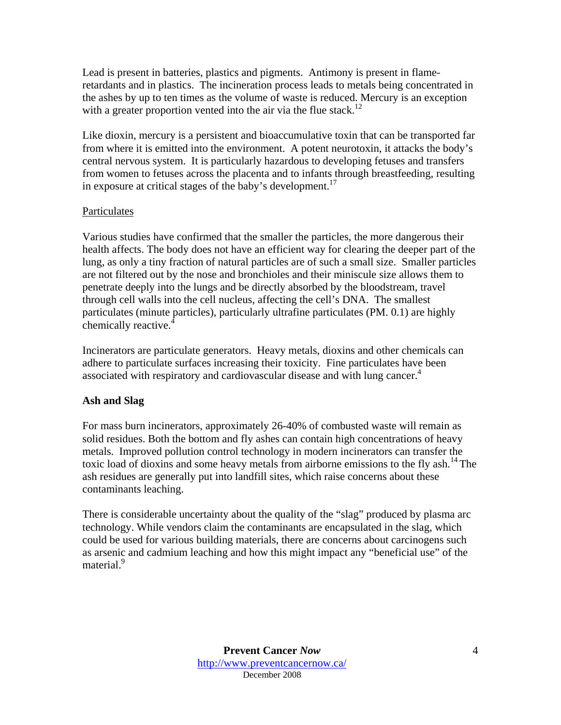Lead is present in batteries, plastics and pigments. Antimony is present in flameretardants and in plastics. The incineration process leads to metals being concentrated in the ashes by up to ten times as the volume of waste is reduced. Mercury is an exception with a greater proportion vented into the air via the flue stack.<sup>12</sup>

Like dioxin, mercury is a persistent and bioaccumulative toxin that can be transported far from where it is emitted into the environment. A potent neurotoxin, it attacks the body's central nervous system. It is particularly hazardous to developing fetuses and transfers from women to fetuses across the placenta and to infants through breastfeeding, resulting in exposure at critical stages of the baby's development.<sup>17</sup>

# Particulates

Various studies have confirmed that the smaller the particles, the more dangerous their health affects. The body does not have an efficient way for clearing the deeper part of the lung, as only a tiny fraction of natural particles are of such a small size. Smaller particles are not filtered out by the nose and bronchioles and their miniscule size allows them to penetrate deeply into the lungs and be directly absorbed by the bloodstream, travel through cell walls into the cell nucleus, affecting the cell's DNA. The smallest particulates (minute particles), particularly ultrafine particulates (PM. 0.1) are highly chemically reactive.<sup>4</sup>

Incinerators are particulate generators. Heavy metals, dioxins and other chemicals can adhere to particulate surfaces increasing their toxicity. Fine particulates have been associated with respiratory and cardiovascular disease and with lung cancer.<sup>4</sup>

# **Ash and Slag**

For mass burn incinerators, approximately 26-40% of combusted waste will remain as solid residues. Both the bottom and fly ashes can contain high concentrations of heavy metals. Improved pollution control technology in modern incinerators can transfer the toxic load of dioxins and some heavy metals from airborne emissions to the fly ash.<sup>14</sup> The ash residues are generally put into landfill sites, which raise concerns about these contaminants leaching.

There is considerable uncertainty about the quality of the "slag" produced by plasma arc technology. While vendors claim the contaminants are encapsulated in the slag, which could be used for various building materials, there are concerns about carcinogens such as arsenic and cadmium leaching and how this might impact any "beneficial use" of the material.<sup>9</sup>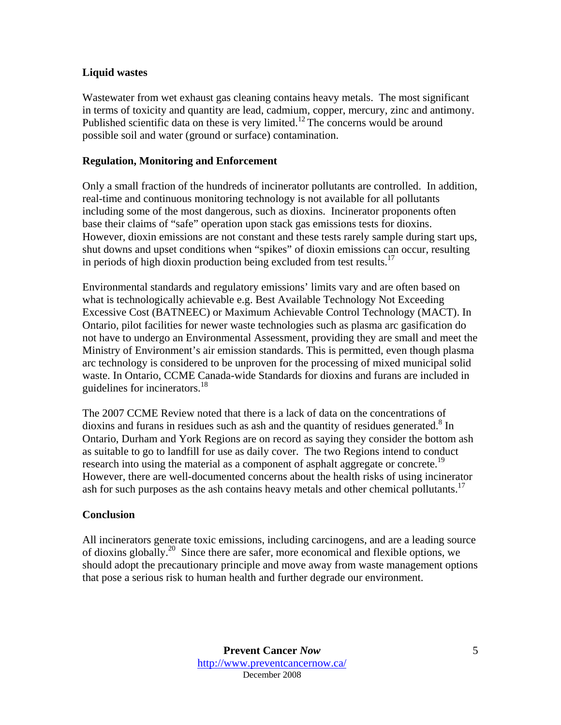#### **Liquid wastes**

Wastewater from wet exhaust gas cleaning contains heavy metals. The most significant in terms of toxicity and quantity are lead, cadmium, copper, mercury, zinc and antimony. Published scientific data on these is very limited.<sup>12</sup> The concerns would be around possible soil and water (ground or surface) contamination.

#### **Regulation, Monitoring and Enforcement**

Only a small fraction of the hundreds of incinerator pollutants are controlled. In addition, real-time and continuous monitoring technology is not available for all pollutants including some of the most dangerous, such as dioxins. Incinerator proponents often base their claims of "safe" operation upon stack gas emissions tests for dioxins. However, dioxin emissions are not constant and these tests rarely sample during start ups, shut downs and upset conditions when "spikes" of dioxin emissions can occur, resulting in periods of high dioxin production being excluded from test results.<sup>17</sup>

Environmental standards and regulatory emissions' limits vary and are often based on what is technologically achievable e.g. Best Available Technology Not Exceeding Excessive Cost (BATNEEC) or Maximum Achievable Control Technology (MACT). In Ontario, pilot facilities for newer waste technologies such as plasma arc gasification do not have to undergo an Environmental Assessment, providing they are small and meet the Ministry of Environment's air emission standards. This is permitted, even though plasma arc technology is considered to be unproven for the processing of mixed municipal solid waste. In Ontario, CCME Canada-wide Standards for dioxins and furans are included in guidelines for incinerators.<sup>18</sup>

The 2007 CCME Review noted that there is a lack of data on the concentrations of dioxins and furans in residues such as ash and the quantity of residues generated.<sup>8</sup> In Ontario, Durham and York Regions are on record as saying they consider the bottom ash as suitable to go to landfill for use as daily cover. The two Regions intend to conduct research into using the material as a component of asphalt aggregate or concrete.<sup>19</sup> However, there are well-documented concerns about the health risks of using incinerator ash for such purposes as the ash contains heavy metals and other chemical pollutants.<sup>17</sup>

# **Conclusion**

All incinerators generate toxic emissions, including carcinogens, and are a leading source of dioxins globally.<sup>20</sup> Since there are safer, more economical and flexible options, we should adopt the precautionary principle and move away from waste management options that pose a serious risk to human health and further degrade our environment.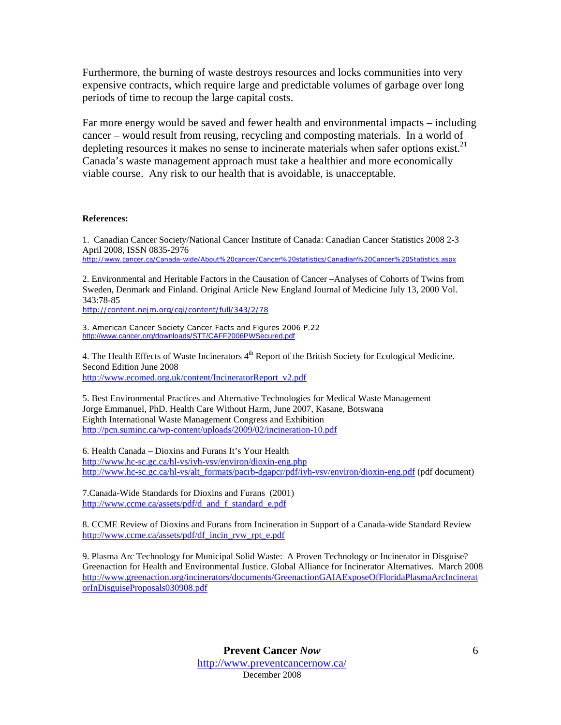Furthermore, the burning of waste destroys resources and locks communities into very expensive contracts, which require large and predictable volumes of garbage over long periods of time to recoup the large capital costs.

Far more energy would be saved and fewer health and environmental impacts – including cancer – would result from reusing, recycling and composting materials. In a world of depleting resources it makes no sense to incinerate materials when safer options exist.<sup>21</sup> Canada's waste management approach must take a healthier and more economically viable course. Any risk to our health that is avoidable, is unacceptable.

#### **References:**

1. Canadian Cancer Society/National Cancer Institute of Canada: Canadian Cancer Statistics 2008 2-3 April 2008, ISSN 0835-2976 http://www.cancer.ca/Canada-wide/About%20cancer/Cancer%20statistics/Canadian%20Cancer%20Statistics.aspx

2. Environmental and Heritable Factors in the Causation of Cancer –Analyses of Cohorts of Twins from Sweden, Denmark and Finland. Original Article New England Journal of Medicine July 13, 2000 Vol. 343:78-85

http://content.nejm.org/cgi/content/full/343/2/78

3. American Cancer Society Cancer Facts and Figures 2006 P.22 http://www.cancer.org/downloads/STT/CAFF2006PWSecured.pdf

4. The Health Effects of Waste Incinerators 4<sup>th</sup> Report of the British Society for Ecological Medicine. Second Edition June 2008 http://www.ecomed.org.uk/content/IncineratorReport\_v2.pdf

5. Best Environmental Practices and Alternative Technologies for Medical Waste Management Jorge Emmanuel, PhD. Health Care Without Harm, June 2007, Kasane, Botswana Eighth International Waste Management Congress and Exhibition http://pcn.suminc.ca/wp-content/uploads/2009/02/incineration-10.pdf

6. Health Canada – Dioxins and Furans It's Your Health http://www.hc-sc.gc.ca/hl-vs/iyh-vsv/environ/dioxin-eng.php http://www.hc-sc.gc.ca/hl-vs/alt\_formats/pacrb-dgapcr/pdf/iyh-vsv/environ/dioxin-eng.pdf (pdf document)

7.Canada-Wide Standards for Dioxins and Furans (2001) http://www.ccme.ca/assets/pdf/d\_and\_f\_standard\_e.pdf

8. CCME Review of Dioxins and Furans from Incineration in Support of a Canada-wide Standard Review http://www.ccme.ca/assets/pdf/df\_incin\_rvw\_rpt\_e.pdf

9. Plasma Arc Technology for Municipal Solid Waste: A Proven Technology or Incinerator in Disguise? Greenaction for Health and Environmental Justice. Global Alliance for Incinerator Alternatives. March 2008 http://www.greenaction.org/incinerators/documents/GreenactionGAIAExposeOfFloridaPlasmaArcIncinerat orInDisguiseProposals030908.pdf

> **Prevent Cancer** *Now*  http://www.preventcancernow.ca/ December 2008